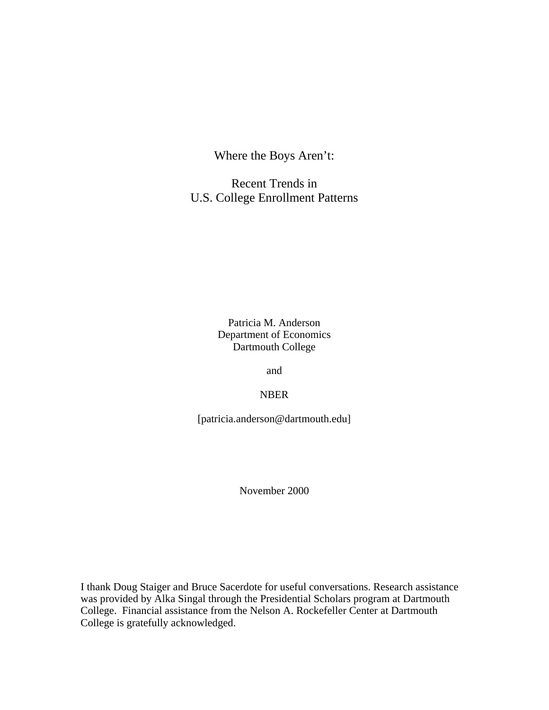Where the Boys Aren't:

Recent Trends in U.S. College Enrollment Patterns

> Patricia M. Anderson Department of Economics Dartmouth College

> > and

# NBER

[patricia.anderson@dartmouth.edu]

November 2000

I thank Doug Staiger and Bruce Sacerdote for useful conversations. Research assistance was provided by Alka Singal through the Presidential Scholars program at Dartmouth College. Financial assistance from the Nelson A. Rockefeller Center at Dartmouth College is gratefully acknowledged.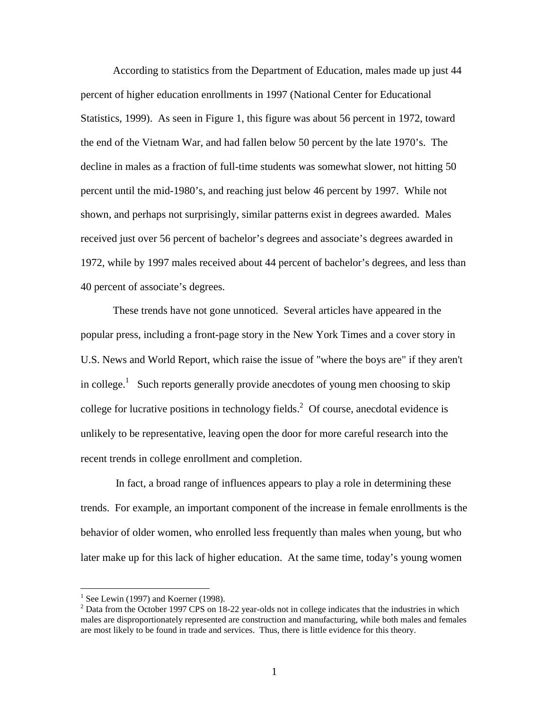According to statistics from the Department of Education, males made up just 44 percent of higher education enrollments in 1997 (National Center for Educational Statistics, 1999). As seen in Figure 1, this figure was about 56 percent in 1972, toward the end of the Vietnam War, and had fallen below 50 percent by the late 1970's. The decline in males as a fraction of full-time students was somewhat slower, not hitting 50 percent until the mid-1980's, and reaching just below 46 percent by 1997. While not shown, and perhaps not surprisingly, similar patterns exist in degrees awarded. Males received just over 56 percent of bachelor's degrees and associate's degrees awarded in 1972, while by 1997 males received about 44 percent of bachelor's degrees, and less than 40 percent of associate's degrees.

These trends have not gone unnoticed. Several articles have appeared in the popular press, including a front-page story in the New York Times and a cover story in U.S. News and World Report, which raise the issue of "where the boys are" if they aren't in college.<sup>1</sup> Such reports generally provide anecdotes of young men choosing to skip college for lucrative positions in technology fields. $2$  Of course, anecdotal evidence is unlikely to be representative, leaving open the door for more careful research into the recent trends in college enrollment and completion.

 In fact, a broad range of influences appears to play a role in determining these trends. For example, an important component of the increase in female enrollments is the behavior of older women, who enrolled less frequently than males when young, but who later make up for this lack of higher education. At the same time, today's young women

<sup>&</sup>lt;sup>1</sup> See Lewin (1997) and Koerner (1998).

 $2^{2}$  Data from the October 1997 CPS on 18-22 year-olds not in college indicates that the industries in which males are disproportionately represented are construction and manufacturing, while both males and females are most likely to be found in trade and services. Thus, there is little evidence for this theory.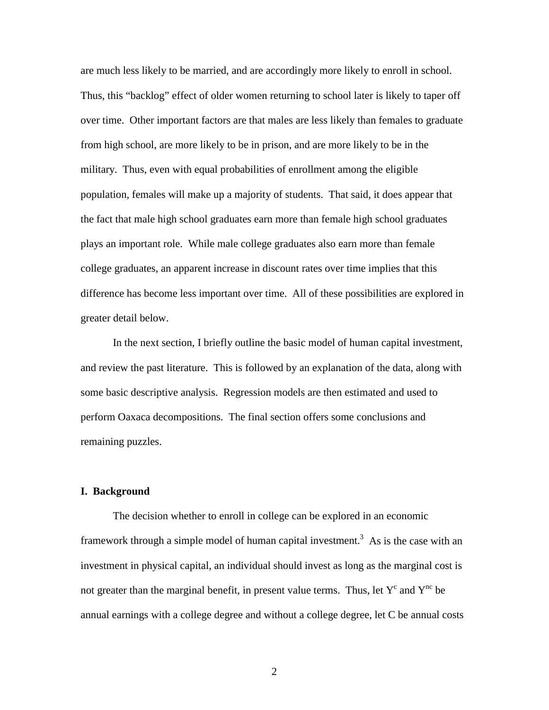are much less likely to be married, and are accordingly more likely to enroll in school. Thus, this "backlog" effect of older women returning to school later is likely to taper off over time. Other important factors are that males are less likely than females to graduate from high school, are more likely to be in prison, and are more likely to be in the military. Thus, even with equal probabilities of enrollment among the eligible population, females will make up a majority of students. That said, it does appear that the fact that male high school graduates earn more than female high school graduates plays an important role. While male college graduates also earn more than female college graduates, an apparent increase in discount rates over time implies that this difference has become less important over time. All of these possibilities are explored in greater detail below.

In the next section, I briefly outline the basic model of human capital investment, and review the past literature. This is followed by an explanation of the data, along with some basic descriptive analysis. Regression models are then estimated and used to perform Oaxaca decompositions. The final section offers some conclusions and remaining puzzles.

## **I. Background**

The decision whether to enroll in college can be explored in an economic framework through a simple model of human capital investment.<sup>3</sup> As is the case with an investment in physical capital, an individual should invest as long as the marginal cost is not greater than the marginal benefit, in present value terms. Thus, let  $Y^c$  and  $Y^{nc}$  be annual earnings with a college degree and without a college degree, let C be annual costs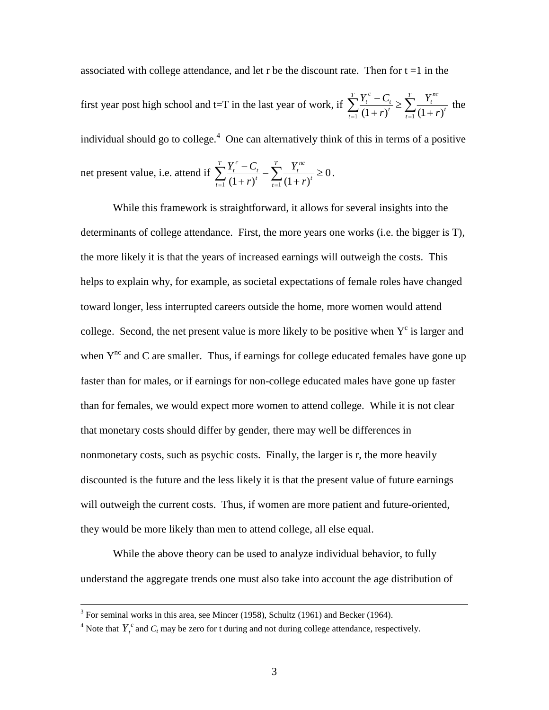associated with college attendance, and let r be the discount rate. Then for  $t = 1$  in the first year post high school and t=T in the last year of work, if  $\sum_{t=1}^{\infty} \frac{I_t - C_t}{(1+r)^t} \ge \sum_{t=1}^{\infty} \frac{I_t}{(1+r)^t}$ +  $-C_{t}$ <sub> $\sim \frac{7}{2}$ </sub>  $\sum_{t=1}^{L} (1+r)^t$ *nc*  $\sum_{t}^{T} \sum_{t}^{t} - C_{t} \leq \sum_{t}^{T} \sum_{t}^{T}$  $\sum_{t=1}^{l} (1+r)^t$ *t c t r Y r*  $Y_t^c - C$  $\frac{1}{1} (1+r)^t$   $\frac{1}{t-1} (1+r)$  the individual should go to college.<sup>4</sup> One can alternatively think of this in terms of a positive net present value, i.e. attend if  $\sum_{i=1}^{n} \frac{C_i}{C_i} - \sum_{i=1}^{n} \frac{C_i}{C_i} \ge 0$  $\frac{1}{1} (1+r)^t$   $\frac{1}{t-1} (1+r)$  $\sum_{t=1}^{T} \frac{Y_t^c - C_t}{(1+r)^t} - \sum_{t=1}^{T} \frac{Y_t^{nc}}{(1+r)^t} \ge$  $\sum_{t=1}^{L} (1+r)^t$ *nc*  $\sum_t^T Y_t^c - C_t \sum_t^T Y_t$  $\sum_{t=1}^{L} (1+r)^t$ *t c t r Y r*  $\frac{Y_t^c - C_t}{T} - \sum_{t=1}^T \frac{Y_t^{nc}}{T} \ge 0$ .

 While this framework is straightforward, it allows for several insights into the determinants of college attendance. First, the more years one works (i.e. the bigger is T), the more likely it is that the years of increased earnings will outweigh the costs. This helps to explain why, for example, as societal expectations of female roles have changed toward longer, less interrupted careers outside the home, more women would attend college. Second, the net present value is more likely to be positive when  $Y^c$  is larger and when  $Y^{nc}$  and C are smaller. Thus, if earnings for college educated females have gone up faster than for males, or if earnings for non-college educated males have gone up faster than for females, we would expect more women to attend college. While it is not clear that monetary costs should differ by gender, there may well be differences in nonmonetary costs, such as psychic costs. Finally, the larger is r, the more heavily discounted is the future and the less likely it is that the present value of future earnings will outweigh the current costs. Thus, if women are more patient and future-oriented, they would be more likely than men to attend college, all else equal.

 While the above theory can be used to analyze individual behavior, to fully understand the aggregate trends one must also take into account the age distribution of

 $\frac{1}{3}$  $3$  For seminal works in this area, see Mincer (1958), Schultz (1961) and Becker (1964).

<sup>&</sup>lt;sup>4</sup> Note that  $Y_t^c$  and  $C_t$  may be zero for t during and not during college attendance, respectively.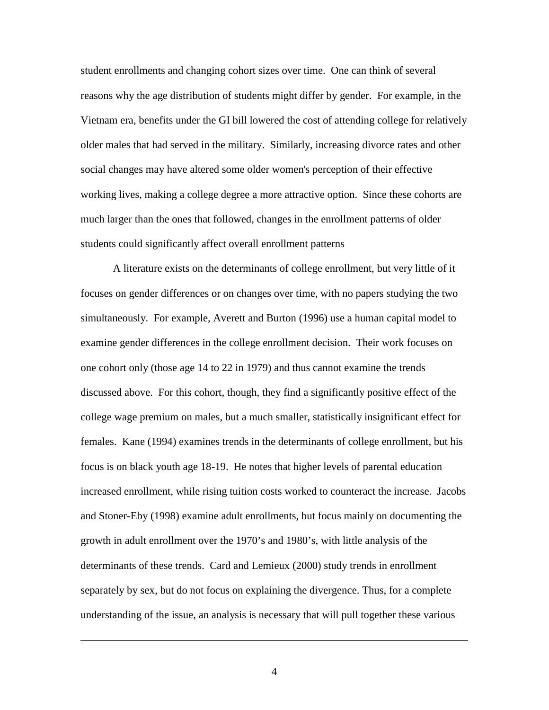student enrollments and changing cohort sizes over time. One can think of several reasons why the age distribution of students might differ by gender. For example, in the Vietnam era, benefits under the GI bill lowered the cost of attending college for relatively older males that had served in the military. Similarly, increasing divorce rates and other social changes may have altered some older women's perception of their effective working lives, making a college degree a more attractive option. Since these cohorts are much larger than the ones that followed, changes in the enrollment patterns of older students could significantly affect overall enrollment patterns

 A literature exists on the determinants of college enrollment, but very little of it focuses on gender differences or on changes over time, with no papers studying the two simultaneously. For example, Averett and Burton (1996) use a human capital model to examine gender differences in the college enrollment decision. Their work focuses on one cohort only (those age 14 to 22 in 1979) and thus cannot examine the trends discussed above. For this cohort, though, they find a significantly positive effect of the college wage premium on males, but a much smaller, statistically insignificant effect for females. Kane (1994) examines trends in the determinants of college enrollment, but his focus is on black youth age 18-19. He notes that higher levels of parental education increased enrollment, while rising tuition costs worked to counteract the increase. Jacobs and Stoner-Eby (1998) examine adult enrollments, but focus mainly on documenting the growth in adult enrollment over the 1970's and 1980's, with little analysis of the determinants of these trends. Card and Lemieux (2000) study trends in enrollment separately by sex, but do not focus on explaining the divergence. Thus, for a complete understanding of the issue, an analysis is necessary that will pull together these various

4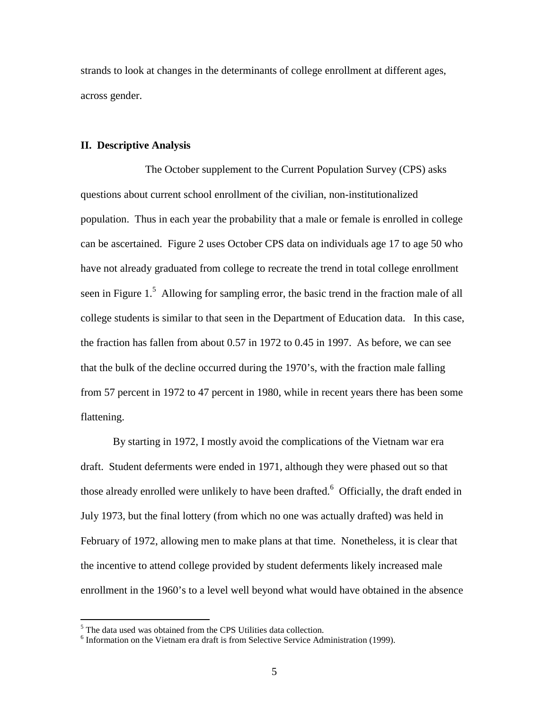strands to look at changes in the determinants of college enrollment at different ages, across gender.

## **II. Descriptive Analysis**

 The October supplement to the Current Population Survey (CPS) asks questions about current school enrollment of the civilian, non-institutionalized population. Thus in each year the probability that a male or female is enrolled in college can be ascertained. Figure 2 uses October CPS data on individuals age 17 to age 50 who have not already graduated from college to recreate the trend in total college enrollment seen in Figure  $1<sup>5</sup>$  Allowing for sampling error, the basic trend in the fraction male of all college students is similar to that seen in the Department of Education data. In this case, the fraction has fallen from about 0.57 in 1972 to 0.45 in 1997. As before, we can see that the bulk of the decline occurred during the 1970's, with the fraction male falling from 57 percent in 1972 to 47 percent in 1980, while in recent years there has been some flattening.

 By starting in 1972, I mostly avoid the complications of the Vietnam war era draft. Student deferments were ended in 1971, although they were phased out so that those already enrolled were unlikely to have been drafted.<sup>6</sup> Officially, the draft ended in July 1973, but the final lottery (from which no one was actually drafted) was held in February of 1972, allowing men to make plans at that time. Nonetheless, it is clear that the incentive to attend college provided by student deferments likely increased male enrollment in the 1960's to a level well beyond what would have obtained in the absence

<sup>&</sup>lt;sup>5</sup> The data used was obtained from the CPS Utilities data collection.

<sup>&</sup>lt;sup>6</sup> Information on the Vietnam era draft is from Selective Service Administration (1999).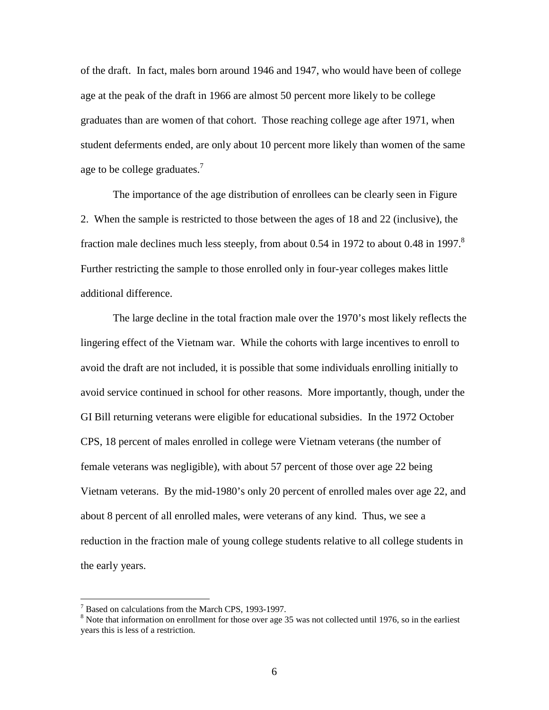of the draft. In fact, males born around 1946 and 1947, who would have been of college age at the peak of the draft in 1966 are almost 50 percent more likely to be college graduates than are women of that cohort. Those reaching college age after 1971, when student deferments ended, are only about 10 percent more likely than women of the same age to be college graduates.<sup>7</sup>

 The importance of the age distribution of enrollees can be clearly seen in Figure 2. When the sample is restricted to those between the ages of 18 and 22 (inclusive), the fraction male declines much less steeply, from about 0.54 in 1972 to about 0.48 in 1997.<sup>8</sup> Further restricting the sample to those enrolled only in four-year colleges makes little additional difference.

The large decline in the total fraction male over the 1970's most likely reflects the lingering effect of the Vietnam war. While the cohorts with large incentives to enroll to avoid the draft are not included, it is possible that some individuals enrolling initially to avoid service continued in school for other reasons. More importantly, though, under the GI Bill returning veterans were eligible for educational subsidies. In the 1972 October CPS, 18 percent of males enrolled in college were Vietnam veterans (the number of female veterans was negligible), with about 57 percent of those over age 22 being Vietnam veterans. By the mid-1980's only 20 percent of enrolled males over age 22, and about 8 percent of all enrolled males, were veterans of any kind. Thus, we see a reduction in the fraction male of young college students relative to all college students in the early years.

<sup>&</sup>lt;sup>7</sup> Based on calculations from the March CPS, 1993-1997.

<sup>&</sup>lt;sup>8</sup> Note that information on enrollment for those over age 35 was not collected until 1976, so in the earliest years this is less of a restriction.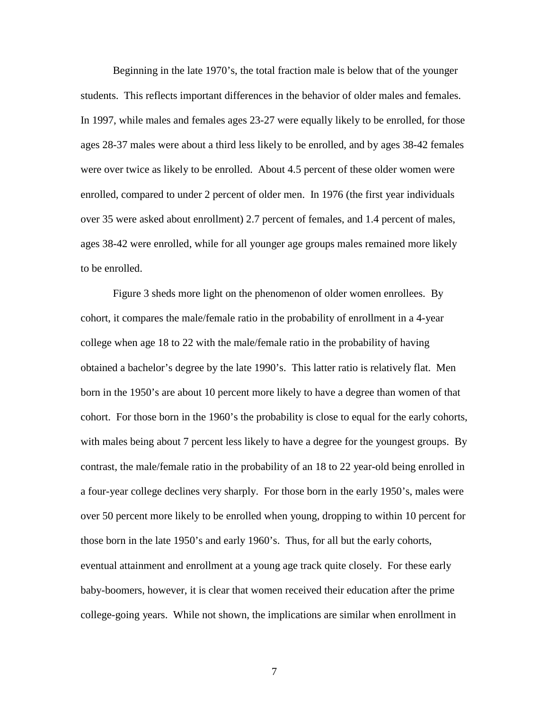Beginning in the late 1970's, the total fraction male is below that of the younger students. This reflects important differences in the behavior of older males and females. In 1997, while males and females ages 23-27 were equally likely to be enrolled, for those ages 28-37 males were about a third less likely to be enrolled, and by ages 38-42 females were over twice as likely to be enrolled. About 4.5 percent of these older women were enrolled, compared to under 2 percent of older men. In 1976 (the first year individuals over 35 were asked about enrollment) 2.7 percent of females, and 1.4 percent of males, ages 38-42 were enrolled, while for all younger age groups males remained more likely to be enrolled.

Figure 3 sheds more light on the phenomenon of older women enrollees. By cohort, it compares the male/female ratio in the probability of enrollment in a 4-year college when age 18 to 22 with the male/female ratio in the probability of having obtained a bachelor's degree by the late 1990's. This latter ratio is relatively flat. Men born in the 1950's are about 10 percent more likely to have a degree than women of that cohort. For those born in the 1960's the probability is close to equal for the early cohorts, with males being about 7 percent less likely to have a degree for the youngest groups. By contrast, the male/female ratio in the probability of an 18 to 22 year-old being enrolled in a four-year college declines very sharply. For those born in the early 1950's, males were over 50 percent more likely to be enrolled when young, dropping to within 10 percent for those born in the late 1950's and early 1960's. Thus, for all but the early cohorts, eventual attainment and enrollment at a young age track quite closely. For these early baby-boomers, however, it is clear that women received their education after the prime college-going years. While not shown, the implications are similar when enrollment in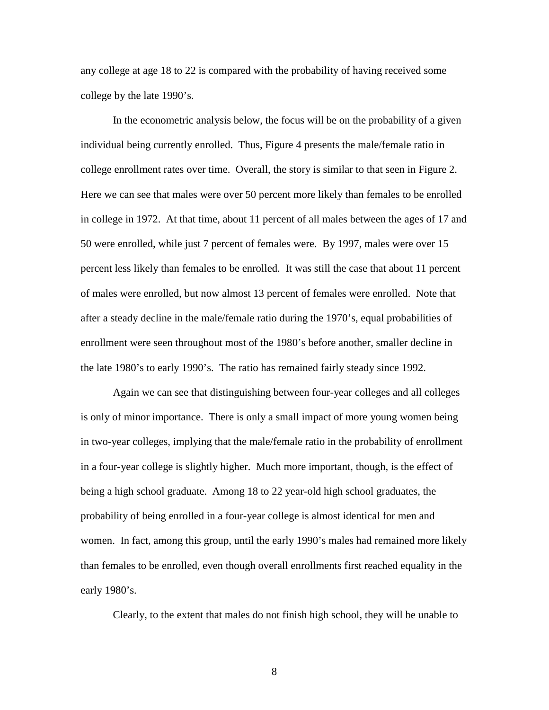any college at age 18 to 22 is compared with the probability of having received some college by the late 1990's.

In the econometric analysis below, the focus will be on the probability of a given individual being currently enrolled. Thus, Figure 4 presents the male/female ratio in college enrollment rates over time. Overall, the story is similar to that seen in Figure 2. Here we can see that males were over 50 percent more likely than females to be enrolled in college in 1972. At that time, about 11 percent of all males between the ages of 17 and 50 were enrolled, while just 7 percent of females were. By 1997, males were over 15 percent less likely than females to be enrolled. It was still the case that about 11 percent of males were enrolled, but now almost 13 percent of females were enrolled. Note that after a steady decline in the male/female ratio during the 1970's, equal probabilities of enrollment were seen throughout most of the 1980's before another, smaller decline in the late 1980's to early 1990's. The ratio has remained fairly steady since 1992.

Again we can see that distinguishing between four-year colleges and all colleges is only of minor importance. There is only a small impact of more young women being in two-year colleges, implying that the male/female ratio in the probability of enrollment in a four-year college is slightly higher. Much more important, though, is the effect of being a high school graduate. Among 18 to 22 year-old high school graduates, the probability of being enrolled in a four-year college is almost identical for men and women. In fact, among this group, until the early 1990's males had remained more likely than females to be enrolled, even though overall enrollments first reached equality in the early 1980's.

Clearly, to the extent that males do not finish high school, they will be unable to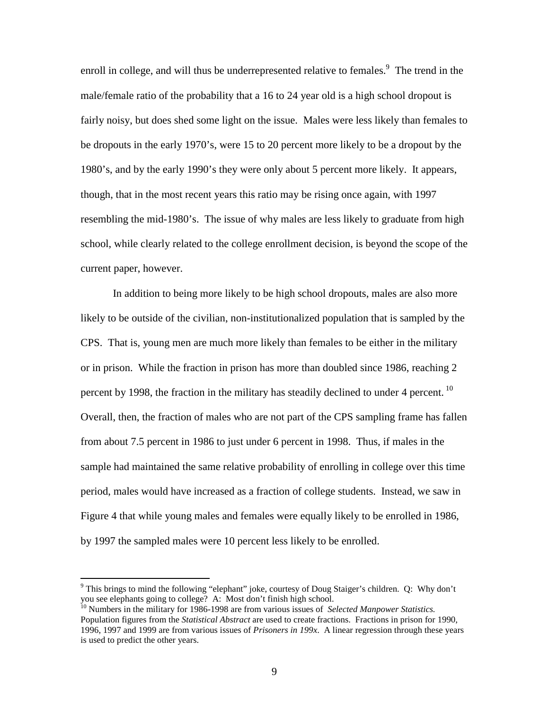enroll in college, and will thus be underrepresented relative to females.<sup>9</sup> The trend in the male/female ratio of the probability that a 16 to 24 year old is a high school dropout is fairly noisy, but does shed some light on the issue. Males were less likely than females to be dropouts in the early 1970's, were 15 to 20 percent more likely to be a dropout by the 1980's, and by the early 1990's they were only about 5 percent more likely. It appears, though, that in the most recent years this ratio may be rising once again, with 1997 resembling the mid-1980's. The issue of why males are less likely to graduate from high school, while clearly related to the college enrollment decision, is beyond the scope of the current paper, however.

In addition to being more likely to be high school dropouts, males are also more likely to be outside of the civilian, non-institutionalized population that is sampled by the CPS. That is, young men are much more likely than females to be either in the military or in prison. While the fraction in prison has more than doubled since 1986, reaching 2 percent by 1998, the fraction in the military has steadily declined to under 4 percent.<sup>10</sup> Overall, then, the fraction of males who are not part of the CPS sampling frame has fallen from about 7.5 percent in 1986 to just under 6 percent in 1998. Thus, if males in the sample had maintained the same relative probability of enrolling in college over this time period, males would have increased as a fraction of college students. Instead, we saw in Figure 4 that while young males and females were equally likely to be enrolled in 1986, by 1997 the sampled males were 10 percent less likely to be enrolled.

<sup>&</sup>lt;sup>9</sup> This brings to mind the following "elephant" joke, courtesy of Doug Staiger's children. Q: Why don't you see elephants going to college? A: Most don't finish high school.

<sup>10</sup> Numbers in the military for 1986-1998 are from various issues of *Selected Manpower Statistics.*  Population figures from the *Statistical Abstract* are used to create fractions. Fractions in prison for 1990, 1996, 1997 and 1999 are from various issues of *Prisoners in 199x*. A linear regression through these years is used to predict the other years.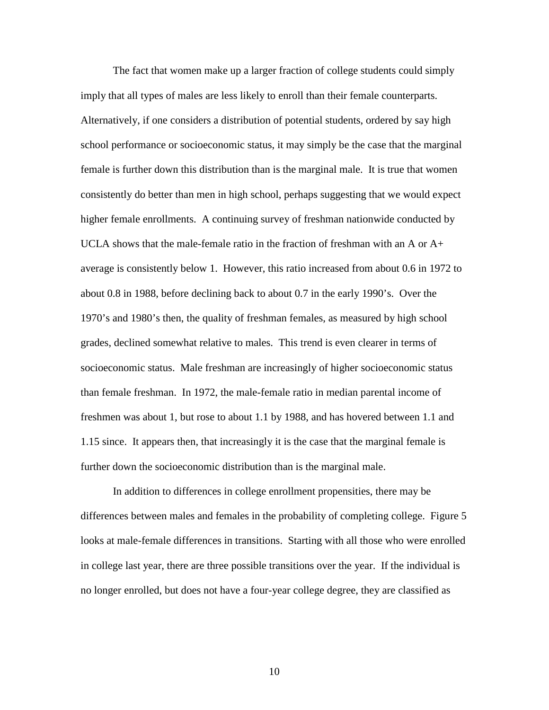The fact that women make up a larger fraction of college students could simply imply that all types of males are less likely to enroll than their female counterparts. Alternatively, if one considers a distribution of potential students, ordered by say high school performance or socioeconomic status, it may simply be the case that the marginal female is further down this distribution than is the marginal male. It is true that women consistently do better than men in high school, perhaps suggesting that we would expect higher female enrollments. A continuing survey of freshman nationwide conducted by UCLA shows that the male-female ratio in the fraction of freshman with an A or A+ average is consistently below 1. However, this ratio increased from about 0.6 in 1972 to about 0.8 in 1988, before declining back to about 0.7 in the early 1990's. Over the 1970's and 1980's then, the quality of freshman females, as measured by high school grades, declined somewhat relative to males. This trend is even clearer in terms of socioeconomic status. Male freshman are increasingly of higher socioeconomic status than female freshman. In 1972, the male-female ratio in median parental income of freshmen was about 1, but rose to about 1.1 by 1988, and has hovered between 1.1 and 1.15 since. It appears then, that increasingly it is the case that the marginal female is further down the socioeconomic distribution than is the marginal male.

In addition to differences in college enrollment propensities, there may be differences between males and females in the probability of completing college. Figure 5 looks at male-female differences in transitions. Starting with all those who were enrolled in college last year, there are three possible transitions over the year. If the individual is no longer enrolled, but does not have a four-year college degree, they are classified as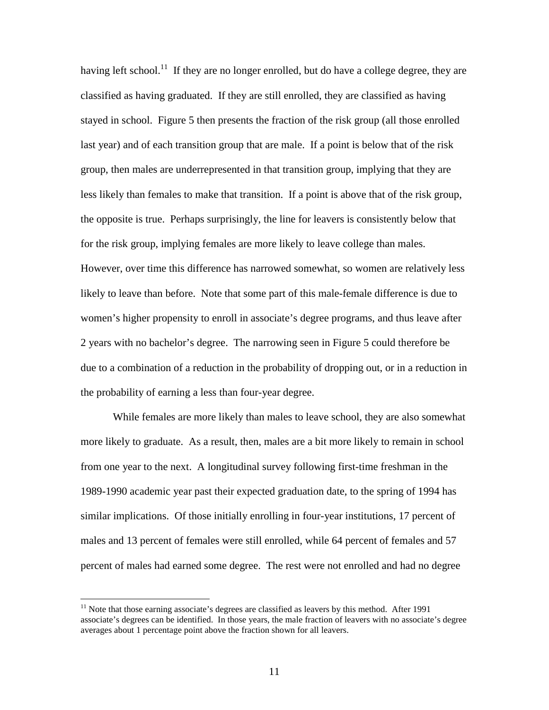having left school.<sup>11</sup> If they are no longer enrolled, but do have a college degree, they are classified as having graduated. If they are still enrolled, they are classified as having stayed in school. Figure 5 then presents the fraction of the risk group (all those enrolled last year) and of each transition group that are male. If a point is below that of the risk group, then males are underrepresented in that transition group, implying that they are less likely than females to make that transition. If a point is above that of the risk group, the opposite is true. Perhaps surprisingly, the line for leavers is consistently below that for the risk group, implying females are more likely to leave college than males. However, over time this difference has narrowed somewhat, so women are relatively less likely to leave than before. Note that some part of this male-female difference is due to women's higher propensity to enroll in associate's degree programs, and thus leave after 2 years with no bachelor's degree. The narrowing seen in Figure 5 could therefore be due to a combination of a reduction in the probability of dropping out, or in a reduction in the probability of earning a less than four-year degree.

While females are more likely than males to leave school, they are also somewhat more likely to graduate. As a result, then, males are a bit more likely to remain in school from one year to the next. A longitudinal survey following first-time freshman in the 1989-1990 academic year past their expected graduation date, to the spring of 1994 has similar implications. Of those initially enrolling in four-year institutions, 17 percent of males and 13 percent of females were still enrolled, while 64 percent of females and 57 percent of males had earned some degree. The rest were not enrolled and had no degree

 $11$  Note that those earning associate's degrees are classified as leavers by this method. After 1991 associate's degrees can be identified. In those years, the male fraction of leavers with no associate's degree averages about 1 percentage point above the fraction shown for all leavers.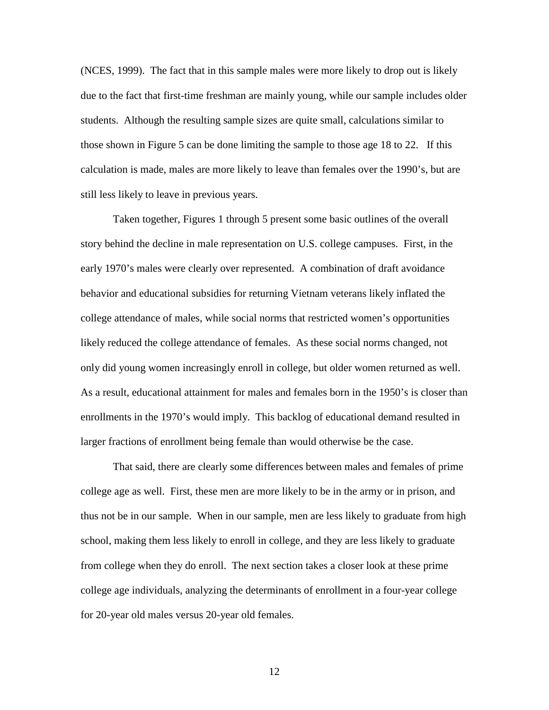(NCES, 1999). The fact that in this sample males were more likely to drop out is likely due to the fact that first-time freshman are mainly young, while our sample includes older students. Although the resulting sample sizes are quite small, calculations similar to those shown in Figure 5 can be done limiting the sample to those age 18 to 22. If this calculation is made, males are more likely to leave than females over the 1990's, but are still less likely to leave in previous years.

Taken together, Figures 1 through 5 present some basic outlines of the overall story behind the decline in male representation on U.S. college campuses. First, in the early 1970's males were clearly over represented. A combination of draft avoidance behavior and educational subsidies for returning Vietnam veterans likely inflated the college attendance of males, while social norms that restricted women's opportunities likely reduced the college attendance of females. As these social norms changed, not only did young women increasingly enroll in college, but older women returned as well. As a result, educational attainment for males and females born in the 1950's is closer than enrollments in the 1970's would imply. This backlog of educational demand resulted in larger fractions of enrollment being female than would otherwise be the case.

That said, there are clearly some differences between males and females of prime college age as well. First, these men are more likely to be in the army or in prison, and thus not be in our sample. When in our sample, men are less likely to graduate from high school, making them less likely to enroll in college, and they are less likely to graduate from college when they do enroll. The next section takes a closer look at these prime college age individuals, analyzing the determinants of enrollment in a four-year college for 20-year old males versus 20-year old females.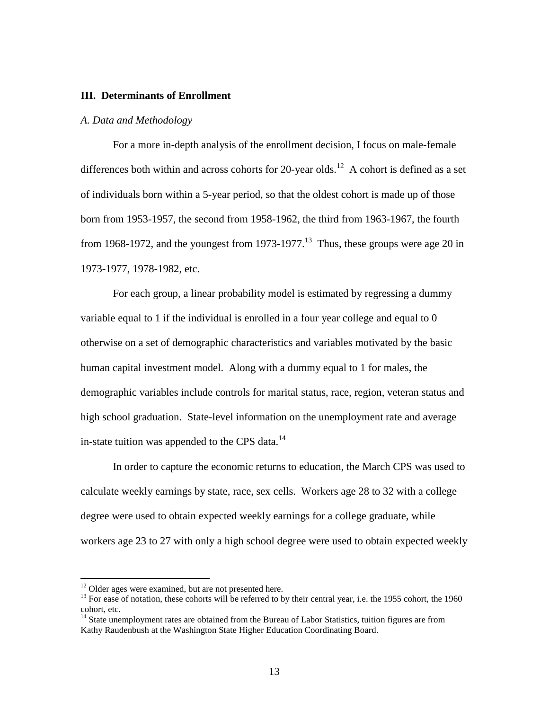### **III. Determinants of Enrollment**

#### *A. Data and Methodology*

 For a more in-depth analysis of the enrollment decision, I focus on male-female differences both within and across cohorts for 20-year olds.<sup>12</sup> A cohort is defined as a set of individuals born within a 5-year period, so that the oldest cohort is made up of those born from 1953-1957, the second from 1958-1962, the third from 1963-1967, the fourth from 1968-1972, and the youngest from 1973-1977.<sup>13</sup> Thus, these groups were age 20 in 1973-1977, 1978-1982, etc.

For each group, a linear probability model is estimated by regressing a dummy variable equal to 1 if the individual is enrolled in a four year college and equal to 0 otherwise on a set of demographic characteristics and variables motivated by the basic human capital investment model. Along with a dummy equal to 1 for males, the demographic variables include controls for marital status, race, region, veteran status and high school graduation. State-level information on the unemployment rate and average in-state tuition was appended to the CPS data. $^{14}$ 

In order to capture the economic returns to education, the March CPS was used to calculate weekly earnings by state, race, sex cells. Workers age 28 to 32 with a college degree were used to obtain expected weekly earnings for a college graduate, while workers age 23 to 27 with only a high school degree were used to obtain expected weekly

 $12$  Older ages were examined, but are not presented here.

 $^{13}$  For ease of notation, these cohorts will be referred to by their central year, i.e. the 1955 cohort, the 1960 cohort, etc.

<sup>&</sup>lt;sup>14</sup> State unemployment rates are obtained from the Bureau of Labor Statistics, tuition figures are from Kathy Raudenbush at the Washington State Higher Education Coordinating Board.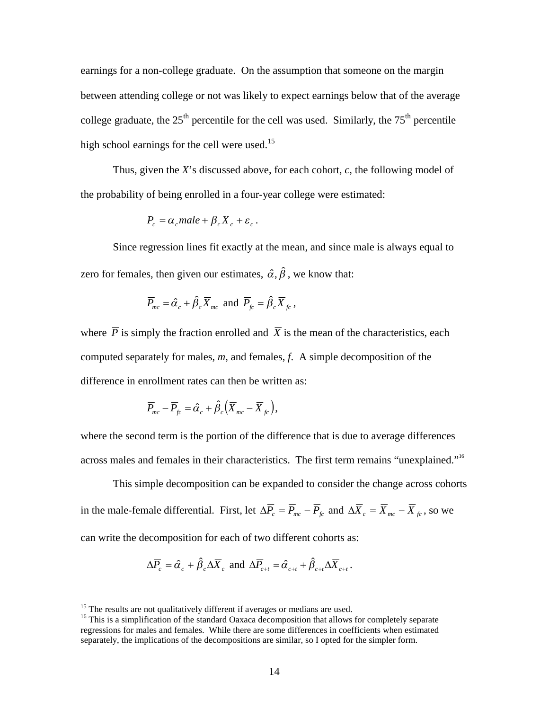earnings for a non-college graduate. On the assumption that someone on the margin between attending college or not was likely to expect earnings below that of the average college graduate, the  $25<sup>th</sup>$  percentile for the cell was used. Similarly, the  $75<sup>th</sup>$  percentile high school earnings for the cell were used.<sup>15</sup>

Thus, given the *X*'s discussed above, for each cohort, *c*, the following model of the probability of being enrolled in a four-year college were estimated:

$$
P_c = \alpha_c male + \beta_c X_c + \varepsilon_c.
$$

Since regression lines fit exactly at the mean, and since male is always equal to zero for females, then given our estimates,  $\hat{\alpha}, \hat{\beta}$ , we know that:

$$
\overline{P}_{mc} = \hat{\alpha}_c + \hat{\beta}_c \overline{X}_{mc} \text{ and } \overline{P}_{fc} = \hat{\beta}_c \overline{X}_{fc} ,
$$

where  $\overline{P}$  is simply the fraction enrolled and  $\overline{X}$  is the mean of the characteristics, each computed separately for males, *m*, and females, *f*. A simple decomposition of the difference in enrollment rates can then be written as:

$$
\overline{P}_{mc}-\overline{P}_{fc}=\hat{\alpha}_c+\hat{\beta}_c\Big(\overline{X}_{mc}-\overline{X}_{fc}\Big),
$$

where the second term is the portion of the difference that is due to average differences across males and females in their characteristics. The first term remains "unexplained."<sup>16</sup>

 This simple decomposition can be expanded to consider the change across cohorts in the male-female differential. First, let  $\Delta \overline{P}_c = \overline{P}_{mc} - \overline{P}_{fc}$  and  $\Delta \overline{X}_c = \overline{X}_{mc} - \overline{X}_{fc}$ , so we can write the decomposition for each of two different cohorts as:

$$
\Delta \overline{P}_c = \hat{\alpha}_c + \hat{\beta}_c \Delta \overline{X}_c \text{ and } \Delta \overline{P}_{c+t} = \hat{\alpha}_{c+t} + \hat{\beta}_{c+t} \Delta \overline{X}_{c+t}.
$$

<sup>&</sup>lt;sup>15</sup> The results are not qualitatively different if averages or medians are used.

<sup>&</sup>lt;sup>16</sup> This is a simplification of the standard Oaxaca decomposition that allows for completely separate regressions for males and females. While there are some differences in coefficients when estimated separately, the implications of the decompositions are similar, so I opted for the simpler form.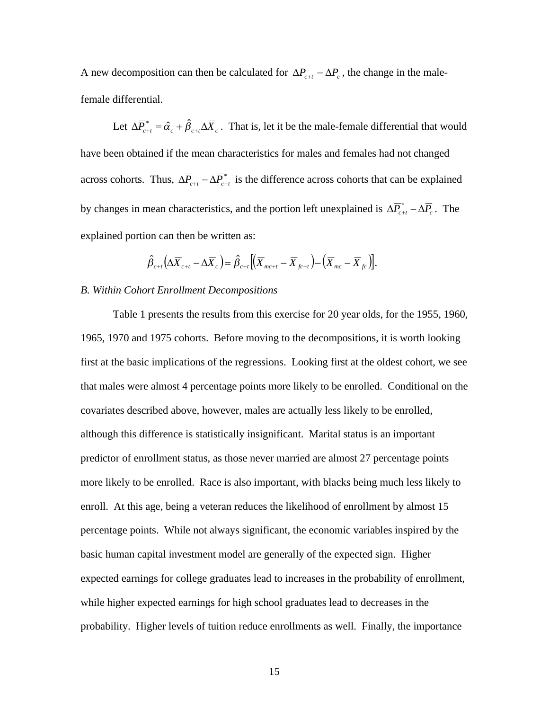A new decomposition can then be calculated for  $\Delta \overline{P}_{c+t} - \Delta \overline{P}_c$ , the change in the malefemale differential.

Let  $\Delta \overline{P}_{c+t}^* = \hat{\alpha}_c + \hat{\beta}_{c+t} \Delta \overline{X}_c$ . That is, let it be the male-female differential that would have been obtained if the mean characteristics for males and females had not changed across cohorts. Thus,  $\Delta \overline{P}_{c+t} - \Delta \overline{P}_{c+t}^*$  is the difference across cohorts that can be explained by changes in mean characteristics, and the portion left unexplained is  $\Delta \overline{P}_{c+t}^* - \Delta \overline{P}_c$ . The explained portion can then be written as:

$$
\hat{\beta}_{c+t} \left( \Delta \overline{X}_{c+t} - \Delta \overline{X}_c \right) = \hat{\beta}_{c+t} \left[ \left( \overline{X}_{mc+t} - \overline{X}_{fc+t} \right) - \left( \overline{X}_{mc} - \overline{X}_{fc} \right) \right].
$$

### *B. Within Cohort Enrollment Decompositions*

 Table 1 presents the results from this exercise for 20 year olds, for the 1955, 1960, 1965, 1970 and 1975 cohorts. Before moving to the decompositions, it is worth looking first at the basic implications of the regressions. Looking first at the oldest cohort, we see that males were almost 4 percentage points more likely to be enrolled. Conditional on the covariates described above, however, males are actually less likely to be enrolled, although this difference is statistically insignificant. Marital status is an important predictor of enrollment status, as those never married are almost 27 percentage points more likely to be enrolled. Race is also important, with blacks being much less likely to enroll. At this age, being a veteran reduces the likelihood of enrollment by almost 15 percentage points. While not always significant, the economic variables inspired by the basic human capital investment model are generally of the expected sign. Higher expected earnings for college graduates lead to increases in the probability of enrollment, while higher expected earnings for high school graduates lead to decreases in the probability. Higher levels of tuition reduce enrollments as well. Finally, the importance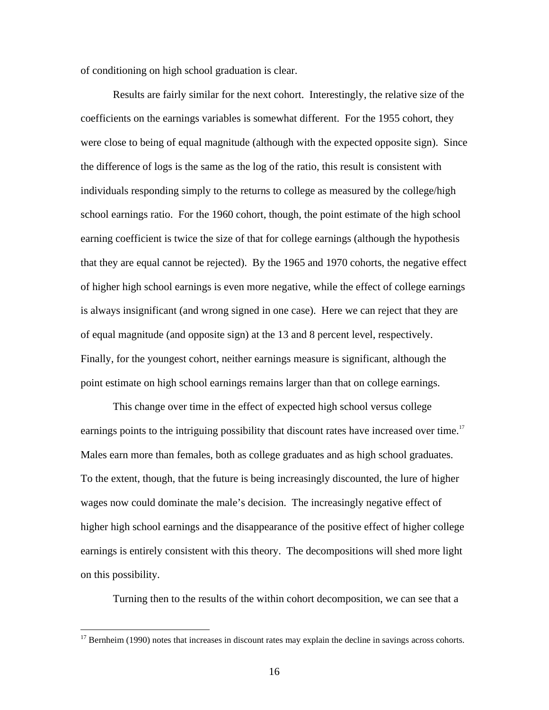of conditioning on high school graduation is clear.

 Results are fairly similar for the next cohort. Interestingly, the relative size of the coefficients on the earnings variables is somewhat different. For the 1955 cohort, they were close to being of equal magnitude (although with the expected opposite sign). Since the difference of logs is the same as the log of the ratio, this result is consistent with individuals responding simply to the returns to college as measured by the college/high school earnings ratio. For the 1960 cohort, though, the point estimate of the high school earning coefficient is twice the size of that for college earnings (although the hypothesis that they are equal cannot be rejected). By the 1965 and 1970 cohorts, the negative effect of higher high school earnings is even more negative, while the effect of college earnings is always insignificant (and wrong signed in one case). Here we can reject that they are of equal magnitude (and opposite sign) at the 13 and 8 percent level, respectively. Finally, for the youngest cohort, neither earnings measure is significant, although the point estimate on high school earnings remains larger than that on college earnings.

 This change over time in the effect of expected high school versus college earnings points to the intriguing possibility that discount rates have increased over time.<sup>17</sup> Males earn more than females, both as college graduates and as high school graduates. To the extent, though, that the future is being increasingly discounted, the lure of higher wages now could dominate the male's decision. The increasingly negative effect of higher high school earnings and the disappearance of the positive effect of higher college earnings is entirely consistent with this theory. The decompositions will shed more light on this possibility.

Turning then to the results of the within cohort decomposition, we can see that a

 $17$  Bernheim (1990) notes that increases in discount rates may explain the decline in savings across cohorts.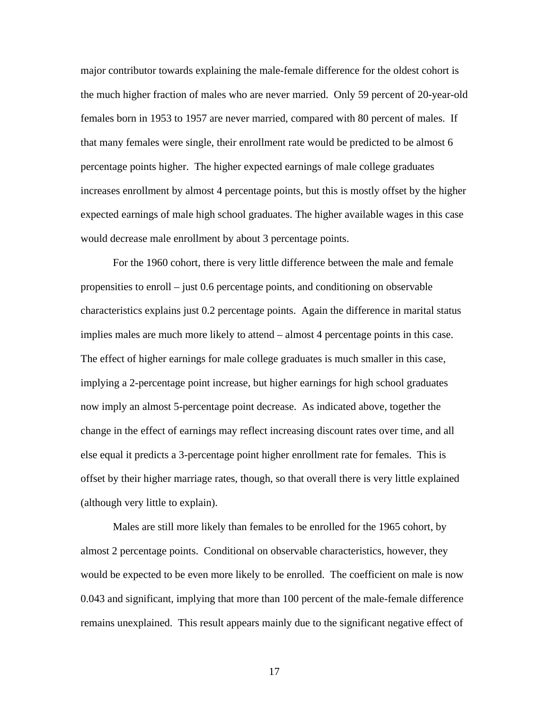major contributor towards explaining the male-female difference for the oldest cohort is the much higher fraction of males who are never married. Only 59 percent of 20-year-old females born in 1953 to 1957 are never married, compared with 80 percent of males. If that many females were single, their enrollment rate would be predicted to be almost 6 percentage points higher. The higher expected earnings of male college graduates increases enrollment by almost 4 percentage points, but this is mostly offset by the higher expected earnings of male high school graduates. The higher available wages in this case would decrease male enrollment by about 3 percentage points.

 For the 1960 cohort, there is very little difference between the male and female propensities to enroll – just 0.6 percentage points, and conditioning on observable characteristics explains just 0.2 percentage points. Again the difference in marital status implies males are much more likely to attend – almost 4 percentage points in this case. The effect of higher earnings for male college graduates is much smaller in this case, implying a 2-percentage point increase, but higher earnings for high school graduates now imply an almost 5-percentage point decrease. As indicated above, together the change in the effect of earnings may reflect increasing discount rates over time, and all else equal it predicts a 3-percentage point higher enrollment rate for females. This is offset by their higher marriage rates, though, so that overall there is very little explained (although very little to explain).

 Males are still more likely than females to be enrolled for the 1965 cohort, by almost 2 percentage points. Conditional on observable characteristics, however, they would be expected to be even more likely to be enrolled. The coefficient on male is now 0.043 and significant, implying that more than 100 percent of the male-female difference remains unexplained. This result appears mainly due to the significant negative effect of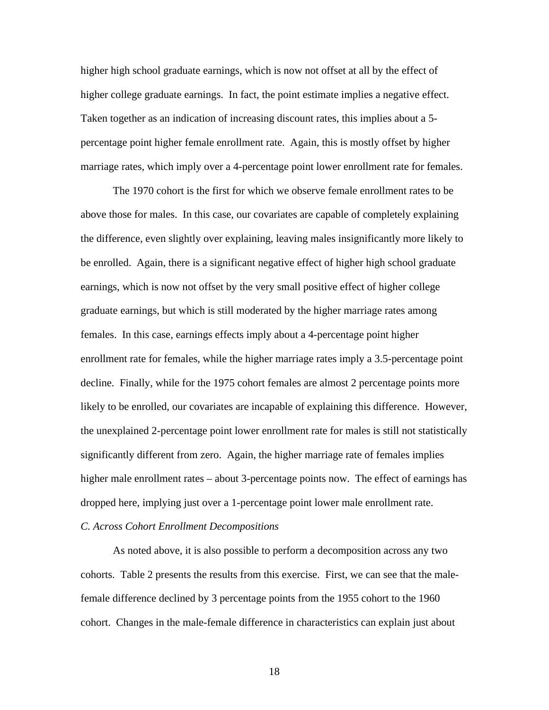higher high school graduate earnings, which is now not offset at all by the effect of higher college graduate earnings. In fact, the point estimate implies a negative effect. Taken together as an indication of increasing discount rates, this implies about a 5 percentage point higher female enrollment rate. Again, this is mostly offset by higher marriage rates, which imply over a 4-percentage point lower enrollment rate for females.

 The 1970 cohort is the first for which we observe female enrollment rates to be above those for males. In this case, our covariates are capable of completely explaining the difference, even slightly over explaining, leaving males insignificantly more likely to be enrolled. Again, there is a significant negative effect of higher high school graduate earnings, which is now not offset by the very small positive effect of higher college graduate earnings, but which is still moderated by the higher marriage rates among females. In this case, earnings effects imply about a 4-percentage point higher enrollment rate for females, while the higher marriage rates imply a 3.5-percentage point decline. Finally, while for the 1975 cohort females are almost 2 percentage points more likely to be enrolled, our covariates are incapable of explaining this difference. However, the unexplained 2-percentage point lower enrollment rate for males is still not statistically significantly different from zero. Again, the higher marriage rate of females implies higher male enrollment rates – about 3-percentage points now. The effect of earnings has dropped here, implying just over a 1-percentage point lower male enrollment rate.

# *C. Across Cohort Enrollment Decompositions*

 As noted above, it is also possible to perform a decomposition across any two cohorts. Table 2 presents the results from this exercise. First, we can see that the malefemale difference declined by 3 percentage points from the 1955 cohort to the 1960 cohort. Changes in the male-female difference in characteristics can explain just about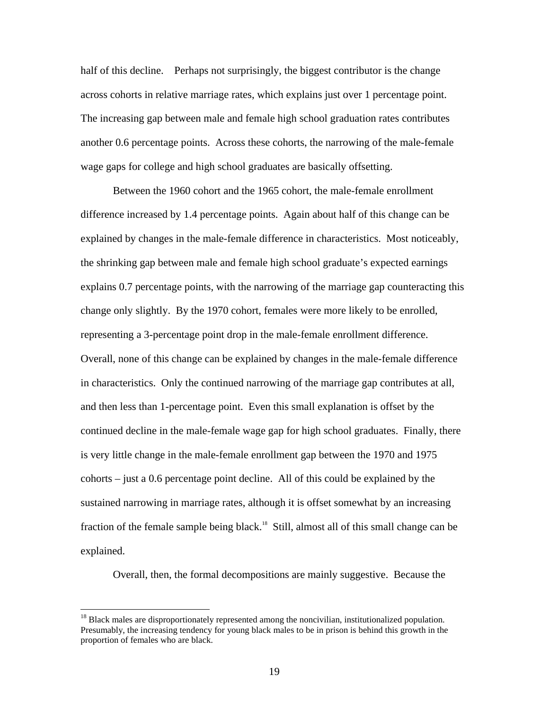half of this decline. Perhaps not surprisingly, the biggest contributor is the change across cohorts in relative marriage rates, which explains just over 1 percentage point. The increasing gap between male and female high school graduation rates contributes another 0.6 percentage points. Across these cohorts, the narrowing of the male-female wage gaps for college and high school graduates are basically offsetting.

 Between the 1960 cohort and the 1965 cohort, the male-female enrollment difference increased by 1.4 percentage points. Again about half of this change can be explained by changes in the male-female difference in characteristics. Most noticeably, the shrinking gap between male and female high school graduate's expected earnings explains 0.7 percentage points, with the narrowing of the marriage gap counteracting this change only slightly. By the 1970 cohort, females were more likely to be enrolled, representing a 3-percentage point drop in the male-female enrollment difference. Overall, none of this change can be explained by changes in the male-female difference in characteristics. Only the continued narrowing of the marriage gap contributes at all, and then less than 1-percentage point. Even this small explanation is offset by the continued decline in the male-female wage gap for high school graduates. Finally, there is very little change in the male-female enrollment gap between the 1970 and 1975 cohorts – just a 0.6 percentage point decline. All of this could be explained by the sustained narrowing in marriage rates, although it is offset somewhat by an increasing fraction of the female sample being black.<sup>18</sup> Still, almost all of this small change can be explained.

Overall, then, the formal decompositions are mainly suggestive. Because the

<sup>&</sup>lt;sup>18</sup> Black males are disproportionately represented among the noncivilian, institutionalized population. Presumably, the increasing tendency for young black males to be in prison is behind this growth in the proportion of females who are black.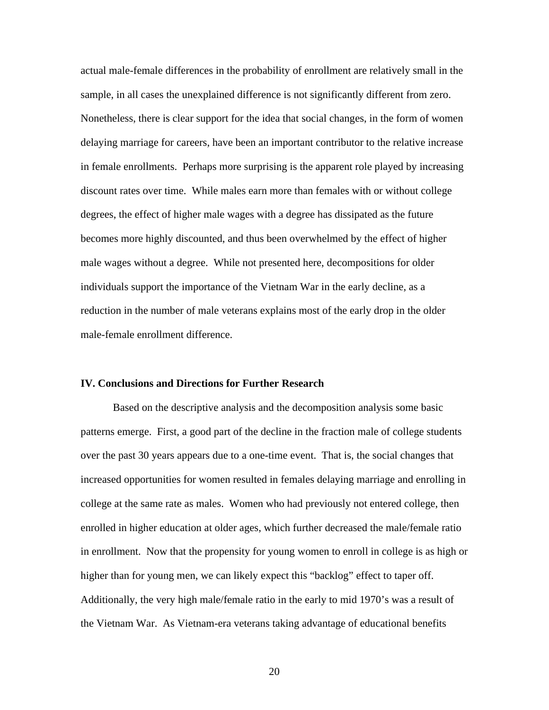actual male-female differences in the probability of enrollment are relatively small in the sample, in all cases the unexplained difference is not significantly different from zero. Nonetheless, there is clear support for the idea that social changes, in the form of women delaying marriage for careers, have been an important contributor to the relative increase in female enrollments. Perhaps more surprising is the apparent role played by increasing discount rates over time. While males earn more than females with or without college degrees, the effect of higher male wages with a degree has dissipated as the future becomes more highly discounted, and thus been overwhelmed by the effect of higher male wages without a degree. While not presented here, decompositions for older individuals support the importance of the Vietnam War in the early decline, as a reduction in the number of male veterans explains most of the early drop in the older male-female enrollment difference.

### **IV. Conclusions and Directions for Further Research**

 Based on the descriptive analysis and the decomposition analysis some basic patterns emerge. First, a good part of the decline in the fraction male of college students over the past 30 years appears due to a one-time event. That is, the social changes that increased opportunities for women resulted in females delaying marriage and enrolling in college at the same rate as males. Women who had previously not entered college, then enrolled in higher education at older ages, which further decreased the male/female ratio in enrollment. Now that the propensity for young women to enroll in college is as high or higher than for young men, we can likely expect this "backlog" effect to taper off. Additionally, the very high male/female ratio in the early to mid 1970's was a result of the Vietnam War. As Vietnam-era veterans taking advantage of educational benefits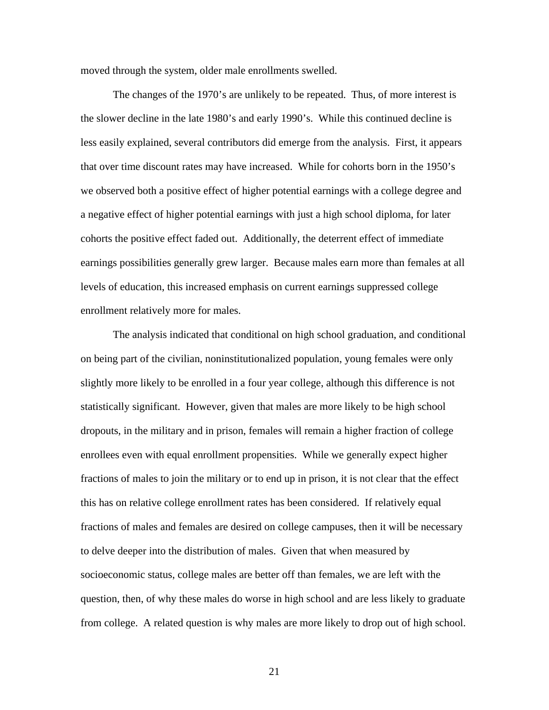moved through the system, older male enrollments swelled.

 The changes of the 1970's are unlikely to be repeated. Thus, of more interest is the slower decline in the late 1980's and early 1990's. While this continued decline is less easily explained, several contributors did emerge from the analysis. First, it appears that over time discount rates may have increased. While for cohorts born in the 1950's we observed both a positive effect of higher potential earnings with a college degree and a negative effect of higher potential earnings with just a high school diploma, for later cohorts the positive effect faded out. Additionally, the deterrent effect of immediate earnings possibilities generally grew larger. Because males earn more than females at all levels of education, this increased emphasis on current earnings suppressed college enrollment relatively more for males.

 The analysis indicated that conditional on high school graduation, and conditional on being part of the civilian, noninstitutionalized population, young females were only slightly more likely to be enrolled in a four year college, although this difference is not statistically significant. However, given that males are more likely to be high school dropouts, in the military and in prison, females will remain a higher fraction of college enrollees even with equal enrollment propensities. While we generally expect higher fractions of males to join the military or to end up in prison, it is not clear that the effect this has on relative college enrollment rates has been considered. If relatively equal fractions of males and females are desired on college campuses, then it will be necessary to delve deeper into the distribution of males. Given that when measured by socioeconomic status, college males are better off than females, we are left with the question, then, of why these males do worse in high school and are less likely to graduate from college. A related question is why males are more likely to drop out of high school.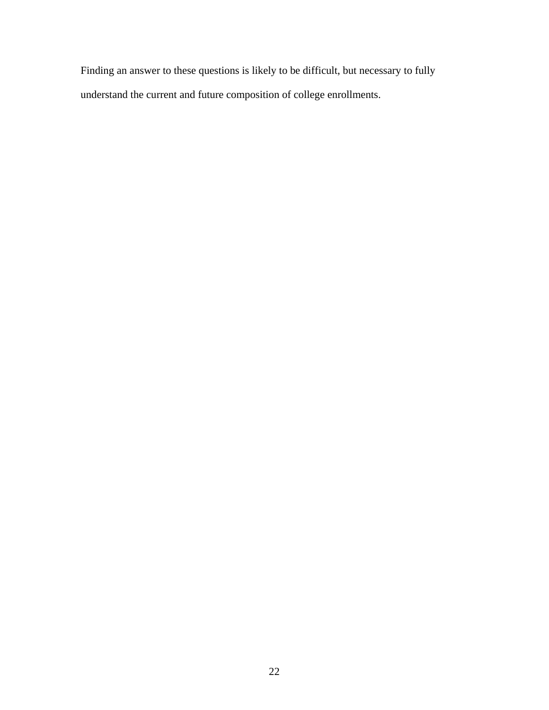Finding an answer to these questions is likely to be difficult, but necessary to fully understand the current and future composition of college enrollments.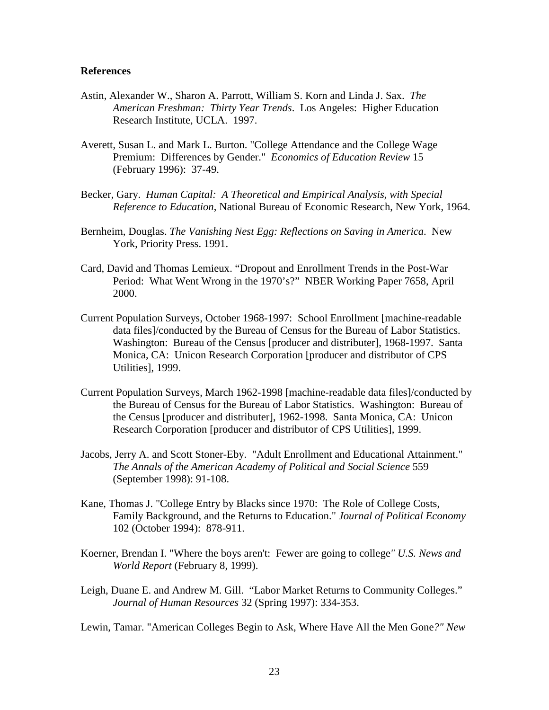## **References**

- Astin, Alexander W., Sharon A. Parrott, William S. Korn and Linda J. Sax. *The American Freshman: Thirty Year Trends*. Los Angeles: Higher Education Research Institute, UCLA. 1997.
- Averett, Susan L. and Mark L. Burton. "College Attendance and the College Wage Premium: Differences by Gender." *Economics of Education Review* 15 (February 1996): 37-49.
- Becker, Gary. *Human Capital: A Theoretical and Empirical Analysis, with Special Reference to Education*, National Bureau of Economic Research, New York, 1964.
- Bernheim, Douglas. *The Vanishing Nest Egg: Reflections on Saving in America*. New York, Priority Press. 1991.
- Card, David and Thomas Lemieux. "Dropout and Enrollment Trends in the Post-War Period: What Went Wrong in the 1970's?" NBER Working Paper 7658, April 2000.
- Current Population Surveys, October 1968-1997: School Enrollment [machine-readable data files]/conducted by the Bureau of Census for the Bureau of Labor Statistics. Washington: Bureau of the Census [producer and distributer], 1968-1997. Santa Monica, CA: Unicon Research Corporation [producer and distributor of CPS Utilities], 1999.
- Current Population Surveys, March 1962-1998 [machine-readable data files]/conducted by the Bureau of Census for the Bureau of Labor Statistics. Washington: Bureau of the Census [producer and distributer], 1962-1998. Santa Monica, CA: Unicon Research Corporation [producer and distributor of CPS Utilities], 1999.
- Jacobs, Jerry A. and Scott Stoner-Eby. "Adult Enrollment and Educational Attainment." *The Annals of the American Academy of Political and Social Science* 559 (September 1998): 91-108.
- Kane, Thomas J. "College Entry by Blacks since 1970: The Role of College Costs, Family Background, and the Returns to Education." *Journal of Political Economy* 102 (October 1994): 878-911.
- Koerner, Brendan I. "Where the boys aren't: Fewer are going to college*" U.S. News and World Report* (February 8, 1999).
- Leigh, Duane E. and Andrew M. Gill. "Labor Market Returns to Community Colleges." *Journal of Human Resources* 32 (Spring 1997): 334-353.
- Lewin, Tamar. "American Colleges Begin to Ask, Where Have All the Men Gone*?" New*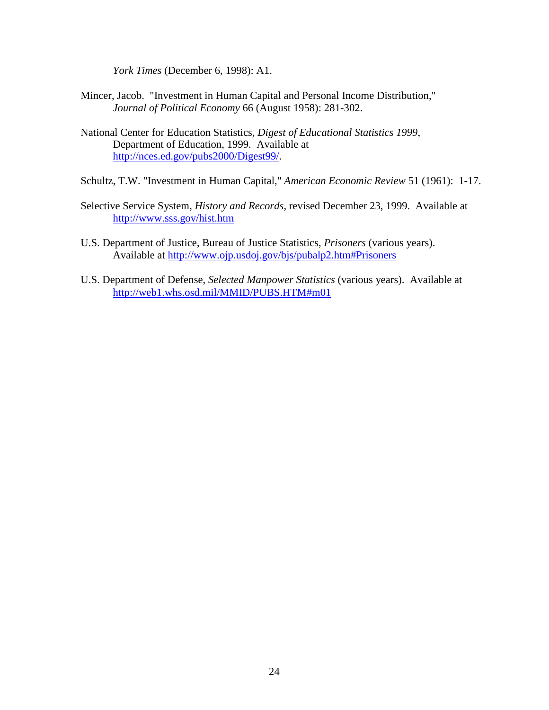*York Times* (December 6, 1998): A1.

- Mincer, Jacob. "Investment in Human Capital and Personal Income Distribution," *Journal of Political Economy* 66 (August 1958): 281-302.
- National Center for Education Statistics, *Digest of Educational Statistics 1999*, Department of Education, 1999. Available at http://nces.ed.gov/pubs2000/Digest99/.
- Schultz, T.W. "Investment in Human Capital," *American Economic Review* 51 (1961): 1-17.
- Selective Service System, *History and Records*, revised December 23, 1999. Available at http://www.sss.gov/hist.htm
- U.S. Department of Justice, Bureau of Justice Statistics, *Prisoners* (various years). Available at http://www.ojp.usdoj.gov/bjs/pubalp2.htm#Prisoners
- U.S. Department of Defense, *Selected Manpower Statistics* (various years). Available at http://web1.whs.osd.mil/MMID/PUBS.HTM#m01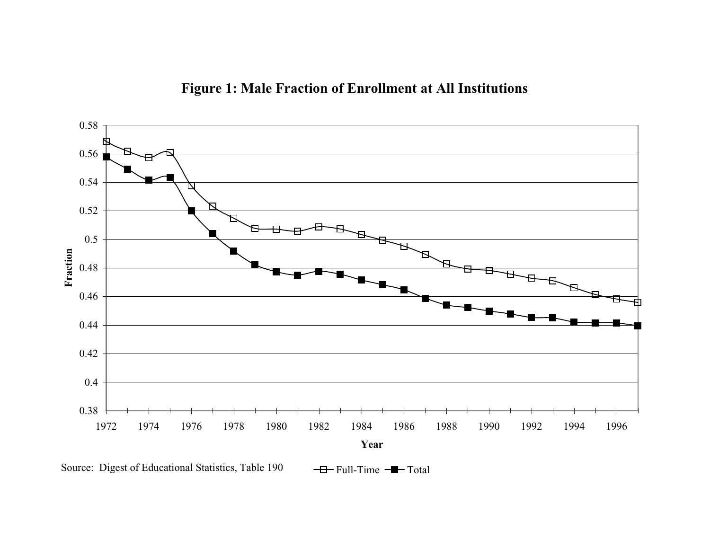



Source: Digest of Educational Statistics, Table 190  $\overline{\Box}$  Full-Time  $\overline{\Box}$  Total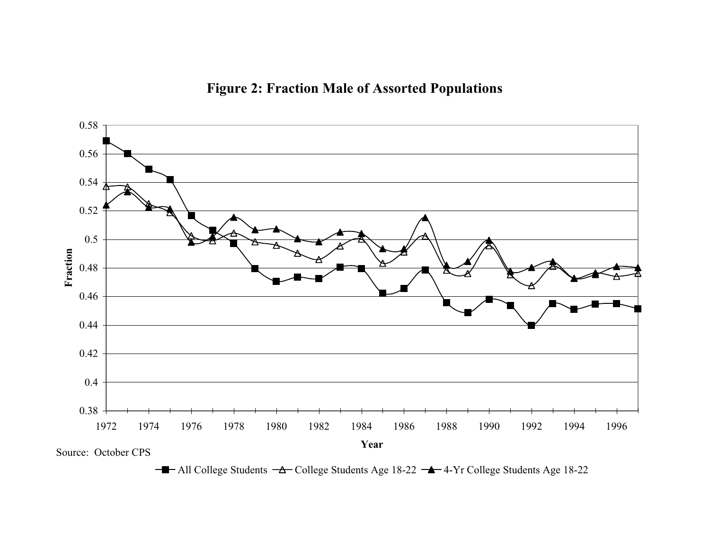# **Figure 2: Fraction Male of Assorted Populations**



 $-\blacksquare$  All College Students  $-\Delta$  College Students Age 18-22  $-\blacktriangle$  4-Yr College Students Age 18-22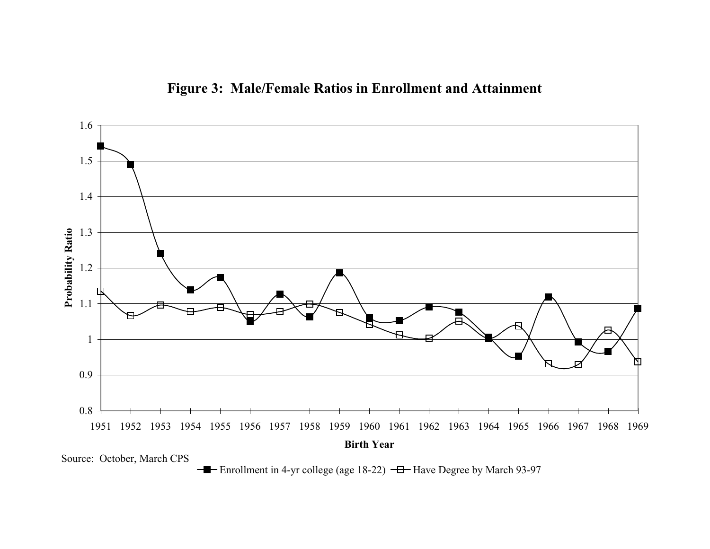# **Figure 3: Male/Female Ratios in Enrollment and Attainment**



 $-\blacksquare$  Enrollment in 4-yr college (age 18-22)  $-\blacksquare$  Have Degree by March 93-97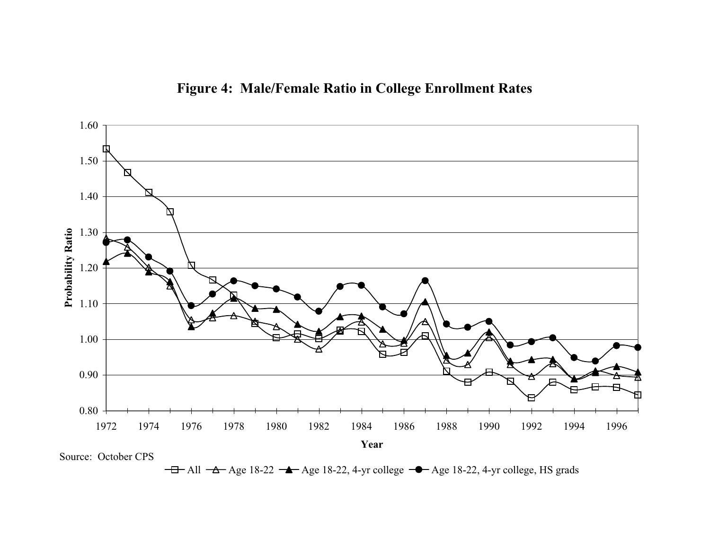

All <del>-∆-</del> Age 18-22 -▲- Age 18-22, 4-yr college -●- Age 18-22, 4-yr college, HS grads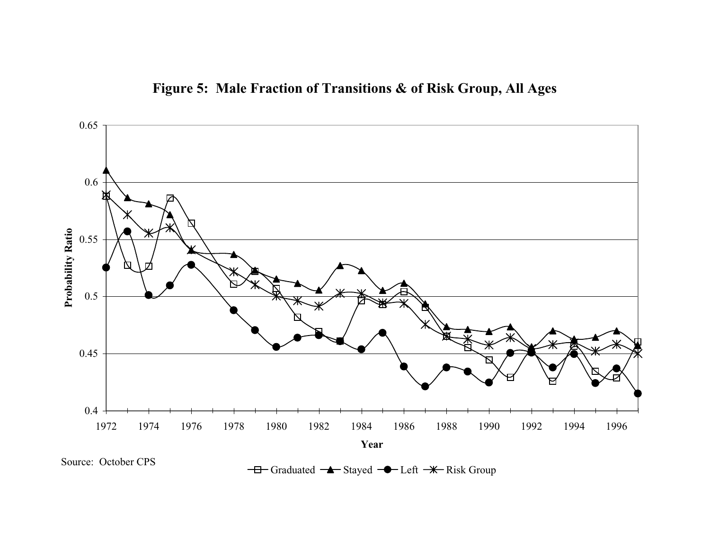

Graduated <del>A</del> Stayed **-** Left <sup>-</sup> X Risk Group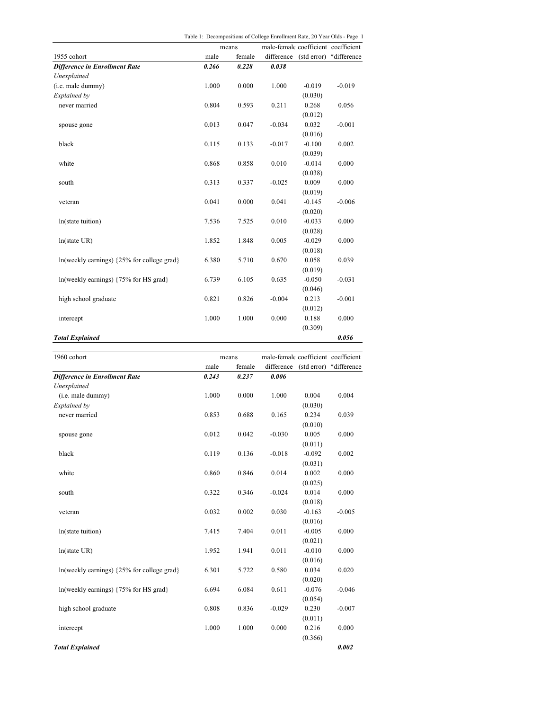|  | Table 1: Decompositions of College Enrollment Rate, 20 Year Olds - Page 1 |  |
|--|---------------------------------------------------------------------------|--|
|  |                                                                           |  |

|                                                       |       | means  |            |          | male-female coefficient coefficient |
|-------------------------------------------------------|-------|--------|------------|----------|-------------------------------------|
| 1955 cohort                                           | male  | female | difference |          | (std error) *difference             |
| <b>Difference in Enrollment Rate</b>                  | 0.266 | 0.228  | 0.038      |          |                                     |
| Unexplained                                           |       |        |            |          |                                     |
| (i.e. male dummy)                                     | 1.000 | 0.000  | 1.000      | $-0.019$ | $-0.019$                            |
| Explained by                                          |       |        |            | (0.030)  |                                     |
| never married                                         | 0.804 | 0.593  | 0.211      | 0.268    | 0.056                               |
|                                                       |       |        |            | (0.012)  |                                     |
| spouse gone                                           | 0.013 | 0.047  | $-0.034$   | 0.032    | $-0.001$                            |
|                                                       |       |        |            | (0.016)  |                                     |
| black                                                 | 0.115 | 0.133  | $-0.017$   | $-0.100$ | 0.002                               |
|                                                       |       |        |            | (0.039)  |                                     |
| white                                                 | 0.868 | 0.858  | 0.010      | $-0.014$ | 0.000                               |
|                                                       |       |        |            | (0.038)  |                                     |
| south                                                 | 0.313 | 0.337  | $-0.025$   | 0.009    | 0.000                               |
|                                                       |       |        |            | (0.019)  |                                     |
| veteran                                               | 0.041 | 0.000  | 0.041      | $-0.145$ | $-0.006$                            |
|                                                       |       |        |            | (0.020)  |                                     |
| ln(state tuition)                                     | 7.536 | 7.525  | 0.010      | $-0.033$ | 0.000                               |
|                                                       |       |        |            | (0.028)  |                                     |
| ln(state UR)                                          | 1.852 | 1.848  | 0.005      | $-0.029$ | 0.000                               |
|                                                       |       |        |            | (0.018)  |                                     |
| $ln($ weekly earnings) $\{25\%$ for college grad $\}$ | 6.380 | 5.710  | 0.670      | 0.058    | 0.039                               |
|                                                       |       |        |            | (0.019)  |                                     |
| In(weekly earnings) {75% for HS grad}                 | 6.739 | 6.105  | 0.635      | $-0.050$ | $-0.031$                            |
|                                                       |       |        |            | (0.046)  |                                     |
| high school graduate                                  | 0.821 | 0.826  | $-0.004$   | 0.213    | $-0.001$                            |
|                                                       |       |        |            | (0.012)  |                                     |
| intercept                                             | 1.000 | 1.000  | 0.000      | 0.188    | 0.000                               |
|                                                       |       |        |            | (0.309)  |                                     |
| <b>Total Explained</b>                                |       |        |            |          | 0.056                               |

| 1960 cohort                                            |       | means  |            |             | male-female coefficient coefficient |
|--------------------------------------------------------|-------|--------|------------|-------------|-------------------------------------|
|                                                        | male  | female | difference | (std error) | *difference                         |
| <b>Difference in Enrollment Rate</b>                   | 0.243 | 0.237  | 0.006      |             |                                     |
| Unexplained                                            |       |        |            |             |                                     |
| (i.e. male dummy)                                      | 1.000 | 0.000  | 1.000      | 0.004       | 0.004                               |
| Explained by                                           |       |        |            | (0.030)     |                                     |
| never married                                          | 0.853 | 0.688  | 0.165      | 0.234       | 0.039                               |
|                                                        |       |        |            | (0.010)     |                                     |
| spouse gone                                            | 0.012 | 0.042  | $-0.030$   | 0.005       | 0.000                               |
|                                                        |       |        |            | (0.011)     |                                     |
| black                                                  | 0.119 | 0.136  | $-0.018$   | $-0.092$    | 0.002                               |
|                                                        |       |        |            | (0.031)     |                                     |
| white                                                  | 0.860 | 0.846  | 0.014      | 0.002       | 0.000                               |
|                                                        |       |        |            | (0.025)     |                                     |
| south                                                  | 0.322 | 0.346  | $-0.024$   | 0.014       | 0.000                               |
|                                                        |       |        |            | (0.018)     |                                     |
| veteran                                                | 0.032 | 0.002  | 0.030      | $-0.163$    | $-0.005$                            |
|                                                        |       |        |            | (0.016)     |                                     |
| ln(state tuition)                                      | 7.415 | 7.404  | 0.011      | $-0.005$    | 0.000                               |
|                                                        |       |        |            | (0.021)     |                                     |
| ln(state UR)                                           | 1.952 | 1.941  | 0.011      | $-0.010$    | 0.000                               |
|                                                        |       |        |            | (0.016)     |                                     |
| $ln($ weekly earnings) $\{25\%$ for college grad $\}$  | 6.301 | 5.722  | 0.580      | 0.034       | 0.020                               |
|                                                        |       |        |            | (0.020)     |                                     |
| $ln($ weekly earnings) $\{75\% \text{ for HS grad}\}\$ | 6.694 | 6.084  | 0.611      | $-0.076$    | $-0.046$                            |
|                                                        |       |        |            | (0.054)     |                                     |
| high school graduate                                   | 0.808 | 0.836  | $-0.029$   | 0.230       | $-0.007$                            |
|                                                        |       |        |            | (0.011)     |                                     |
| intercept                                              | 1.000 | 1.000  | 0.000      | 0.216       | 0.000                               |
|                                                        |       |        |            | (0.366)     |                                     |
| <b>Total Explained</b>                                 |       |        |            |             | 0.002                               |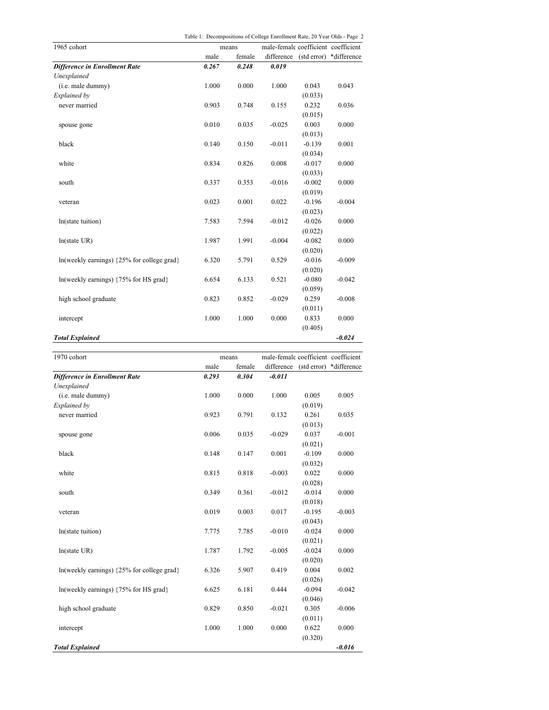| 1965 cohort                                            |       | means  |          |          | male-female coefficient coefficient |
|--------------------------------------------------------|-------|--------|----------|----------|-------------------------------------|
|                                                        | male  | female |          |          | difference (std error) *difference  |
| <b>Difference in Enrollment Rate</b>                   | 0.267 | 0.248  | 0.019    |          |                                     |
| Unexplained                                            |       |        |          |          |                                     |
| (i.e. male dummy)                                      | 1.000 | 0.000  | 1.000    | 0.043    | 0.043                               |
| Explained by                                           |       |        |          | (0.033)  |                                     |
| never married                                          | 0.903 | 0.748  | 0.155    | 0.232    | 0.036                               |
|                                                        |       |        |          | (0.015)  |                                     |
| spouse gone                                            | 0.010 | 0.035  | $-0.025$ | 0.003    | 0.000                               |
|                                                        |       |        |          | (0.013)  |                                     |
| black                                                  | 0.140 | 0.150  | $-0.011$ | $-0.139$ | 0.001                               |
|                                                        |       |        |          | (0.034)  |                                     |
| white                                                  | 0.834 | 0.826  | 0.008    | $-0.017$ | 0.000                               |
|                                                        |       |        |          | (0.033)  |                                     |
| south                                                  | 0.337 | 0.353  | $-0.016$ | $-0.002$ | 0.000                               |
|                                                        |       |        |          | (0.019)  |                                     |
| veteran                                                | 0.023 | 0.001  | 0.022    | $-0.196$ | $-0.004$                            |
|                                                        |       |        |          | (0.023)  |                                     |
| ln(state tuition)                                      | 7.583 | 7.594  | $-0.012$ | $-0.026$ | 0.000                               |
|                                                        |       |        |          | (0.022)  |                                     |
| ln(state UR)                                           | 1.987 | 1.991  | $-0.004$ | $-0.082$ | 0.000                               |
|                                                        |       |        |          | (0.020)  |                                     |
| $ln($ weekly earnings) $\{25\%$ for college grad $\}$  | 6.320 | 5.791  | 0.529    | $-0.016$ | $-0.009$                            |
|                                                        |       |        |          | (0.020)  |                                     |
| $ln($ weekly earnings) $\{75\% \text{ for HS grad}\}\$ | 6.654 | 6.133  | 0.521    | $-0.080$ | $-0.042$                            |
|                                                        |       |        |          | (0.059)  |                                     |
| high school graduate                                   | 0.823 | 0.852  | $-0.029$ | 0.259    | $-0.008$                            |
|                                                        |       |        |          | (0.011)  |                                     |
| intercept                                              | 1.000 | 1.000  | 0.000    | 0.833    | 0.000                               |
|                                                        |       |        |          | (0.405)  |                                     |
| <b>Total Explained</b>                                 |       |        |          |          | $-0.024$                            |

| 1970 cohort                                            |       | means  |            | male-female coefficient coefficient |                         |
|--------------------------------------------------------|-------|--------|------------|-------------------------------------|-------------------------|
|                                                        | male  | female | difference |                                     | (std error) *difference |
| <b>Difference in Enrollment Rate</b>                   | 0.293 | 0.304  | $-0.011$   |                                     |                         |
| Unexplained                                            |       |        |            |                                     |                         |
| (i.e. male dummy)                                      | 1.000 | 0.000  | 1.000      | 0.005                               | 0.005                   |
| Explained by                                           |       |        |            | (0.019)                             |                         |
| never married                                          | 0.923 | 0.791  | 0.132      | 0.261                               | 0.035                   |
|                                                        |       |        |            | (0.013)                             |                         |
| spouse gone                                            | 0.006 | 0.035  | $-0.029$   | 0.037                               | $-0.001$                |
|                                                        |       |        |            | (0.021)                             |                         |
| black                                                  | 0.148 | 0.147  | 0.001      | $-0.109$                            | 0.000                   |
|                                                        |       |        |            | (0.032)                             |                         |
| white                                                  | 0.815 | 0.818  | $-0.003$   | 0.022                               | 0.000                   |
|                                                        |       |        |            | (0.028)                             |                         |
| south                                                  | 0.349 | 0.361  | $-0.012$   | $-0.014$                            | 0.000                   |
|                                                        |       |        |            | (0.018)                             |                         |
| veteran                                                | 0.019 | 0.003  | 0.017      | $-0.195$                            | $-0.003$                |
|                                                        |       |        |            | (0.043)                             |                         |
| ln(state tuition)                                      | 7.775 | 7.785  | $-0.010$   | $-0.024$                            | 0.000                   |
|                                                        |       |        |            | (0.021)                             |                         |
| ln(state UR)                                           | 1.787 | 1.792  | $-0.005$   | $-0.024$                            | 0.000                   |
|                                                        |       |        |            | (0.020)                             |                         |
| $ln($ weekly earnings) $\{25\%$ for college grad $\}$  | 6.326 | 5.907  | 0.419      | 0.004                               | 0.002                   |
|                                                        |       |        |            | (0.026)                             |                         |
| $ln($ weekly earnings) $\{75\% \text{ for HS grad}\}\$ | 6.625 | 6.181  | 0.444      | $-0.094$                            | $-0.042$                |
|                                                        |       |        |            | (0.046)                             |                         |
| high school graduate                                   | 0.829 | 0.850  | $-0.021$   | 0.305                               | $-0.006$                |
|                                                        |       |        |            | (0.011)                             |                         |
| intercept                                              | 1.000 | 1.000  | 0.000      | 0.622                               | 0.000                   |
|                                                        |       |        |            | (0.320)                             |                         |
| <b>Total Explained</b>                                 |       |        |            |                                     | $-0.016$                |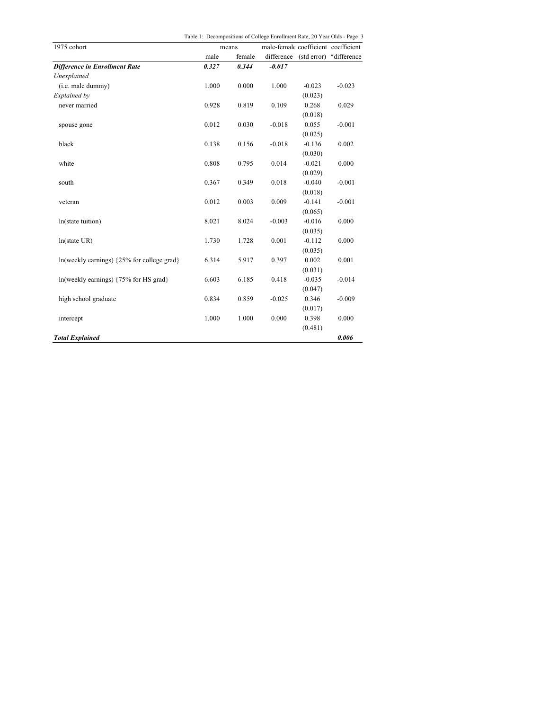| Table 1: Decompositions of College Enrollment Rate, 20 Year Olds - Page 3 |  |
|---------------------------------------------------------------------------|--|

|                                                        | Fable 1. Decompositions of Conege Embilitient Kate, 20 Fear Olds - Fage 5 |        |          |          |                                    |
|--------------------------------------------------------|---------------------------------------------------------------------------|--------|----------|----------|------------------------------------|
| 1975 cohort                                            | male-female coefficient coefficient<br>means                              |        |          |          |                                    |
|                                                        | male                                                                      | female |          |          | difference (std error) *difference |
| <b>Difference in Enrollment Rate</b>                   | 0.327                                                                     | 0.344  | $-0.017$ |          |                                    |
| Unexplained                                            |                                                                           |        |          |          |                                    |
| (i.e. male dummy)                                      | 1.000                                                                     | 0.000  | 1.000    | $-0.023$ | $-0.023$                           |
| Explained by                                           |                                                                           |        |          | (0.023)  |                                    |
| never married                                          | 0.928                                                                     | 0.819  | 0.109    | 0.268    | 0.029                              |
|                                                        |                                                                           |        |          | (0.018)  |                                    |
| spouse gone                                            | 0.012                                                                     | 0.030  | $-0.018$ | 0.055    | $-0.001$                           |
|                                                        |                                                                           |        |          | (0.025)  |                                    |
| black                                                  | 0.138                                                                     | 0.156  | $-0.018$ | $-0.136$ | 0.002                              |
|                                                        |                                                                           |        |          | (0.030)  |                                    |
| white                                                  | 0.808                                                                     | 0.795  | 0.014    | $-0.021$ | 0.000                              |
|                                                        |                                                                           |        |          | (0.029)  |                                    |
| south                                                  | 0.367                                                                     | 0.349  | 0.018    | $-0.040$ | $-0.001$                           |
|                                                        |                                                                           |        |          | (0.018)  |                                    |
| veteran                                                | 0.012                                                                     | 0.003  | 0.009    | $-0.141$ | $-0.001$                           |
|                                                        |                                                                           |        |          | (0.065)  |                                    |
| ln(state tuition)                                      | 8.021                                                                     | 8.024  | $-0.003$ | $-0.016$ | 0.000                              |
|                                                        |                                                                           |        |          | (0.035)  |                                    |
| ln(state UR)                                           | 1.730                                                                     | 1.728  | 0.001    | $-0.112$ | 0.000                              |
|                                                        |                                                                           |        |          | (0.035)  |                                    |
| $ln($ weekly earnings) $\{25\%$ for college grad $\}$  | 6.314                                                                     | 5.917  | 0.397    | 0.002    | 0.001                              |
|                                                        |                                                                           |        |          | (0.031)  |                                    |
| $ln($ weekly earnings) $\{75\% \text{ for HS grad}\}\$ | 6.603                                                                     | 6.185  | 0.418    | $-0.035$ | $-0.014$                           |
|                                                        |                                                                           |        |          | (0.047)  |                                    |
| high school graduate                                   | 0.834                                                                     | 0.859  | $-0.025$ | 0.346    | $-0.009$                           |
|                                                        |                                                                           |        |          | (0.017)  |                                    |
| intercept                                              | 1.000                                                                     | 1.000  | 0.000    | 0.398    | 0.000                              |
|                                                        |                                                                           |        |          | (0.481)  |                                    |
| <b>Total Explained</b>                                 |                                                                           |        |          |          | 0.006                              |